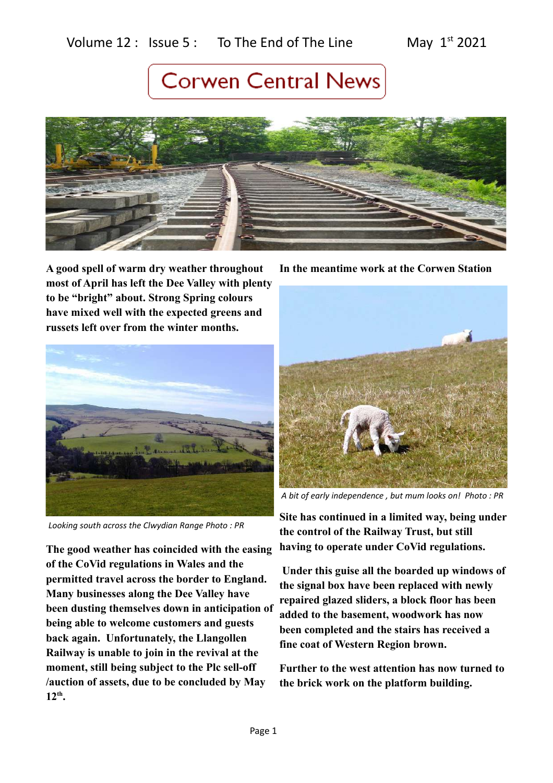### Volume  $12$  : Issue 5 : To The End of The Line May  $1^{st}$  2021

## **Corwen Central News**



**A good spell of warm dry weather throughout most of April has left the Dee Valley with plenty to be "bright" about. Strong Spring colours have mixed well with the expected greens and russets left over from the winter months.** 



*Looking south across the Clwydian Range Photo : PR*

**The good weather has coincided with the easing of the CoVid regulations in Wales and the permitted travel across the border to England. Many businesses along the Dee Valley have been dusting themselves down in anticipation of being able to welcome customers and guests back again. Unfortunately, the Llangollen Railway is unable to join in the revival at the moment, still being subject to the Plc sell-off /auction of assets, due to be concluded by May 12th .**

**In the meantime work at the Corwen Station** 



 *A bit of early independence , but mum looks on! Photo : PR*

**Site has continued in a limited way, being under the control of the Railway Trust, but still having to operate under CoVid regulations.**

 **Under this guise all the boarded up windows of the signal box have been replaced with newly repaired glazed sliders, a block floor has been added to the basement, woodwork has now been completed and the stairs has received a fine coat of Western Region brown.** 

**Further to the west attention has now turned to the brick work on the platform building.**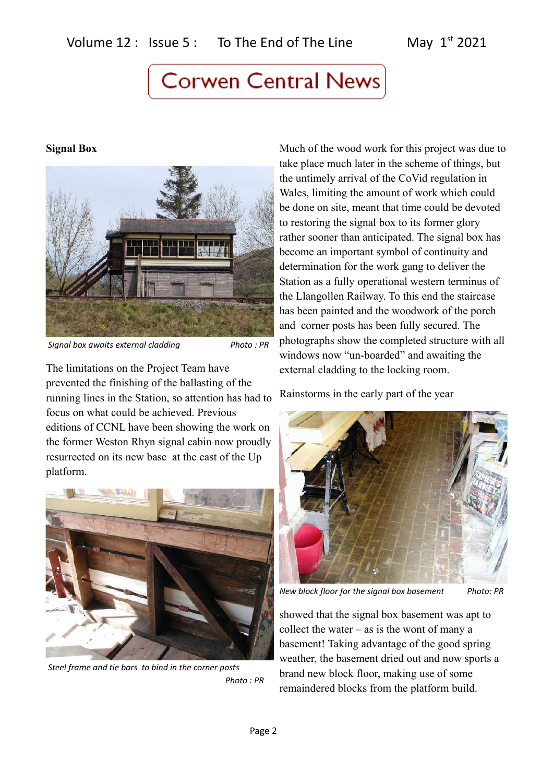**Signal Box**



*Signal box awaits external cladding Photo: PR* 

The limitations on the Project Team have prevented the finishing of the ballasting of the running lines in the Station, so attention has had to focus on what could be achieved. Previous editions of CCNL have been showing the work on the former Weston Rhyn signal cabin now proudly resurrected on its new base at the east of the Up platform.



 *Steel frame and tie bars to bind in the corner posts Photo : PR*

Much of the wood work for this project was due to take place much later in the scheme of things, but the untimely arrival of the CoVid regulation in Wales, limiting the amount of work which could be done on site, meant that time could be devoted to restoring the signal box to its former glory rather sooner than anticipated. The signal box has become an important symbol of continuity and determination for the work gang to deliver the Station as a fully operational western terminus of the Llangollen Railway. To this end the staircase has been painted and the woodwork of the porch and corner posts has been fully secured. The photographs show the completed structure with all windows now "un-boarded" and awaiting the external cladding to the locking room.

Rainstorms in the early part of the year



*New block floor for the signal box basement Photo: PR*

showed that the signal box basement was apt to collect the water – as is the wont of many a basement! Taking advantage of the good spring weather, the basement dried out and now sports a brand new block floor, making use of some remaindered blocks from the platform build.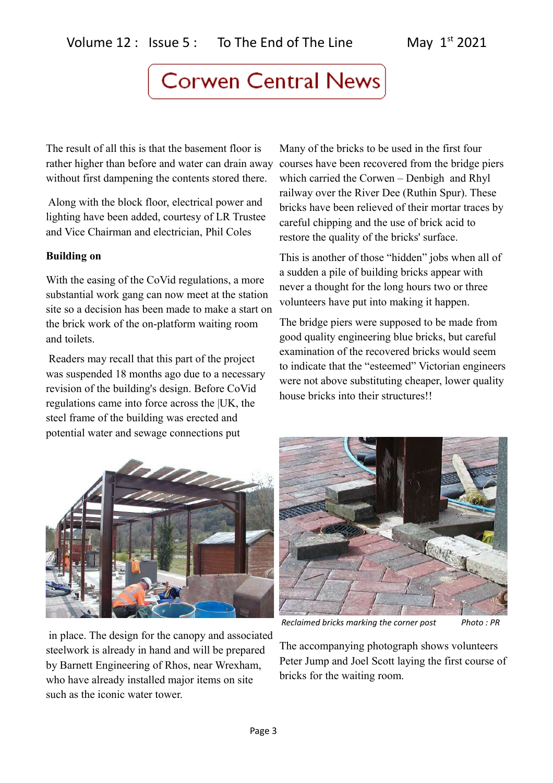The result of all this is that the basement floor is rather higher than before and water can drain away without first dampening the contents stored there.

 Along with the block floor, electrical power and lighting have been added, courtesy of LR Trustee and Vice Chairman and electrician, Phil Coles

#### **Building on**

With the easing of the CoVid regulations, a more substantial work gang can now meet at the station site so a decision has been made to make a start on the brick work of the on-platform waiting room and toilets.

 Readers may recall that this part of the project was suspended 18 months ago due to a necessary revision of the building's design. Before CoVid regulations came into force across the |UK, the steel frame of the building was erected and potential water and sewage connections put

Many of the bricks to be used in the first four courses have been recovered from the bridge piers which carried the Corwen – Denbigh and Rhyl railway over the River Dee (Ruthin Spur). These bricks have been relieved of their mortar traces by careful chipping and the use of brick acid to restore the quality of the bricks' surface.

This is another of those "hidden" jobs when all of a sudden a pile of building bricks appear with never a thought for the long hours two or three volunteers have put into making it happen.

The bridge piers were supposed to be made from good quality engineering blue bricks, but careful examination of the recovered bricks would seem to indicate that the "esteemed" Victorian engineers were not above substituting cheaper, lower quality house bricks into their structures!!



 in place. The design for the canopy and associated steelwork is already in hand and will be prepared by Barnett Engineering of Rhos, near Wrexham, who have already installed major items on site such as the iconic water tower.



 *Reclaimed bricks marking the corner post Photo : PR*

The accompanying photograph shows volunteers Peter Jump and Joel Scott laying the first course of bricks for the waiting room.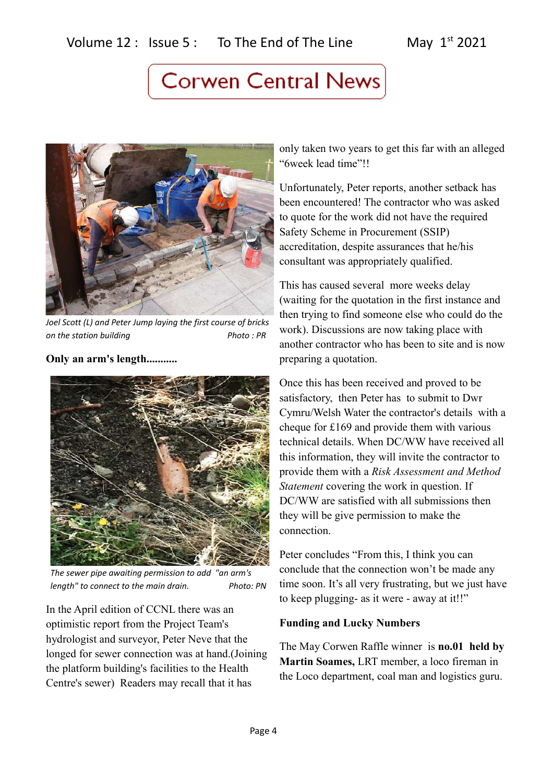

*Joel Scott (L) and Peter Jump laying the first course of bricks on the station building* Photo: PR

### **Only an arm's length...........**



*The sewer pipe awaiting permission to add "an arm's length" to connect to the main drain.* Photo: PN

In the April edition of CCNL there was an optimistic report from the Project Team's hydrologist and surveyor, Peter Neve that the longed for sewer connection was at hand.(Joining the platform building's facilities to the Health Centre's sewer) Readers may recall that it has

only taken two years to get this far with an alleged "6week lead time"!!

Unfortunately, Peter reports, another setback has been encountered! The contractor who was asked to quote for the work did not have the required Safety Scheme in Procurement (SSIP) accreditation, despite assurances that he/his consultant was appropriately qualified.

This has caused several more weeks delay (waiting for the quotation in the first instance and then trying to find someone else who could do the work). Discussions are now taking place with another contractor who has been to site and is now preparing a quotation.

Once this has been received and proved to be satisfactory, then Peter has to submit to Dwr Cymru/Welsh Water the contractor's details with a cheque for £169 and provide them with various technical details. When DC/WW have received all this information, they will invite the contractor to provide them with a *Risk Assessment and Method Statement* covering the work in question. If DC/WW are satisfied with all submissions then they will be give permission to make the connection.

Peter concludes "From this, I think you can conclude that the connection won't be made any time soon. It's all very frustrating, but we just have to keep plugging- as it were - away at it!!"

#### **Funding and Lucky Numbers**

The May Corwen Raffle winner is **no.01 held by Martin Soames,** LRT member, a loco fireman in the Loco department, coal man and logistics guru.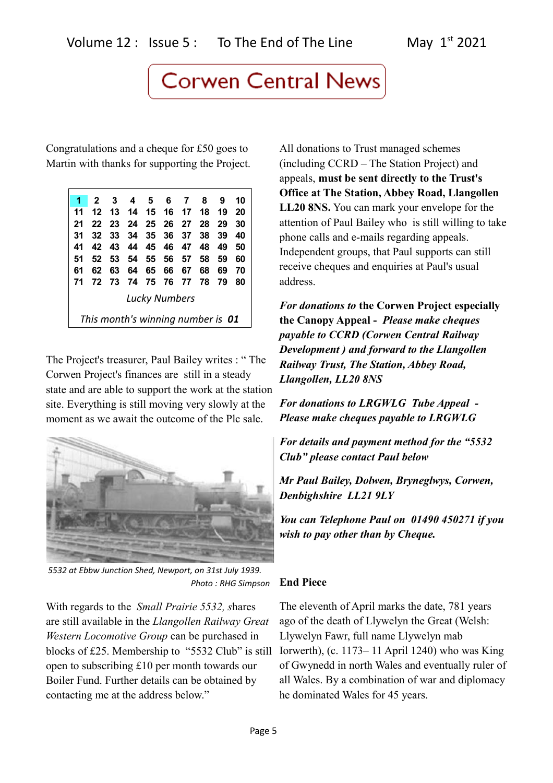Congratulations and a cheque for £50 goes to Martin with thanks for supporting the Project.

| 1.                                | $\mathbf{2}$ | -3   | 4 5 6 7        |       |       |             | 8    | 9  | 10 |
|-----------------------------------|--------------|------|----------------|-------|-------|-------------|------|----|----|
| 11                                | 12           | 13   | - 14           |       |       | 15 16 17    | 18   | 19 | 20 |
| 21                                | 22           | - 23 | 24 25 26 27 28 |       |       |             |      | 29 | 30 |
| 31                                | 32           | -33  |                |       |       | 34 35 36 37 | 38   | 39 | 40 |
| 41                                | 42           |      | 43 44 45 46 47 |       |       |             | 48   | 49 | 50 |
| 51                                | 52           | -53  |                | 54 55 | 56 57 |             | 58   | 59 | 60 |
| 61                                | 62           | 63   | 64             | 65    | 66    | 67          | 68   | 69 | 70 |
| 71                                | 72           | - 73 | - 74           | - 75  | 76 77 |             | - 78 | 79 | 80 |
| <b>Lucky Numbers</b>              |              |      |                |       |       |             |      |    |    |
| This month's winning number is 01 |              |      |                |       |       |             |      |    |    |

The Project's treasurer, Paul Bailey writes : " The Corwen Project's finances are still in a steady state and are able to support the work at the station site. Everything is still moving very slowly at the moment as we await the outcome of the Plc sale.



 *5532 at Ebbw Junction Shed, Newport, on 31st July 1939. Photo : RHG Simpson*

With regards to the *Small Prairie 5532, s*hares are still available in the *Llangollen Railway Great Western Locomotive Group* can be purchased in blocks of £25. Membership to "5532 Club" is still open to subscribing £10 per month towards our Boiler Fund. Further details can be obtained by contacting me at the address below."

All donations to Trust managed schemes (including CCRD – The Station Project) and appeals, **must be sent directly to the Trust's Office at The Station, Abbey Road, Llangollen LL20 8NS.** You can mark your envelope for the attention of Paul Bailey who is still willing to take phone calls and e-mails regarding appeals. Independent groups, that Paul supports can still receive cheques and enquiries at Paul's usual address.

*For donations to* **the Corwen Project especially the Canopy Appeal -** *Please make cheques payable to CCRD (Corwen Central Railway Development ) and forward to the Llangollen Railway Trust, The Station, Abbey Road, Llangollen, LL20 8NS*

*For donations to LRGWLG Tube Appeal - Please make cheques payable to LRGWLG* 

*For details and payment method for the "5532 Club" please contact Paul below*

*Mr Paul Bailey, Dolwen, Bryneglwys, Corwen, Denbighshire LL21 9LY* 

*You can Telephone Paul on 01490 450271 if you wish to pay other than by Cheque.*

#### **End Piece**

The eleventh of April marks the date, 781 years ago of the death of Llywelyn the Great (Welsh: Llywelyn Fawr, full name Llywelyn mab Iorwerth), (c. 1173– 11 April 1240) who was King of Gwynedd in north Wales and eventually ruler of all Wales. By a combination of war and diplomacy he dominated Wales for 45 years.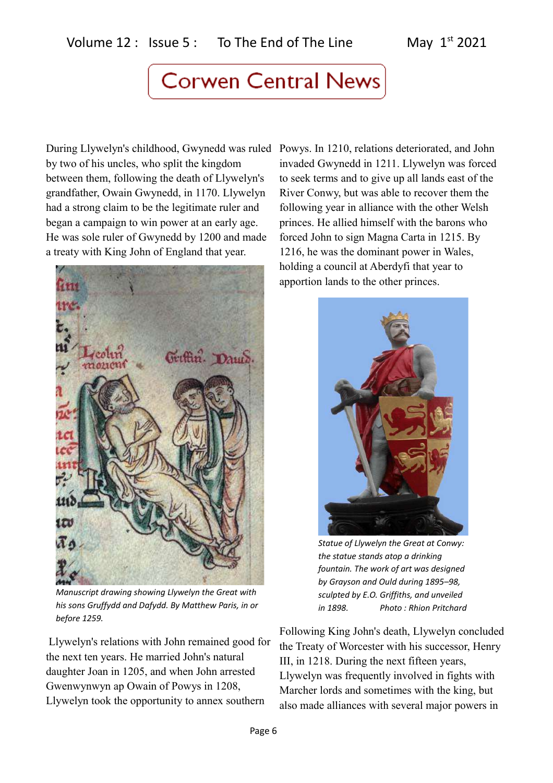During Llywelyn's childhood, Gwynedd was ruled Powys. In 1210, relations deteriorated, and John by two of his uncles, who split the kingdom between them, following the death of Llywelyn's grandfather, Owain Gwynedd, in 1170. Llywelyn had a strong claim to be the legitimate ruler and began a campaign to win power at an early age. He was sole ruler of Gwynedd by 1200 and made a treaty with King John of England that year.



*Manuscript drawing showing Llywelyn the Great with his sons Gruffydd and Dafydd. By Matthew Paris, in or before 1259.*

 Llywelyn's relations with John remained good for the next ten years. He married John's natural daughter Joan in 1205, and when John arrested Gwenwynwyn ap Owain of Powys in 1208, Llywelyn took the opportunity to annex southern

invaded Gwynedd in 1211. Llywelyn was forced to seek terms and to give up all lands east of the River Conwy, but was able to recover them the following year in alliance with the other Welsh princes. He allied himself with the barons who forced John to sign Magna Carta in 1215. By 1216, he was the dominant power in Wales, holding a council at Aberdyfi that year to apportion lands to the other princes.



*Statue of Llywelyn the Great at Conwy: the statue stands atop a drinking fountain. The work of art was designed by Grayson and Ould during 1895–98, sculpted by E.O. Griffiths, and unveiled in 1898. Photo : Rhion Pritchard*

Following King John's death, Llywelyn concluded the Treaty of Worcester with his successor, Henry III, in 1218. During the next fifteen years, Llywelyn was frequently involved in fights with Marcher lords and sometimes with the king, but also made alliances with several major powers in